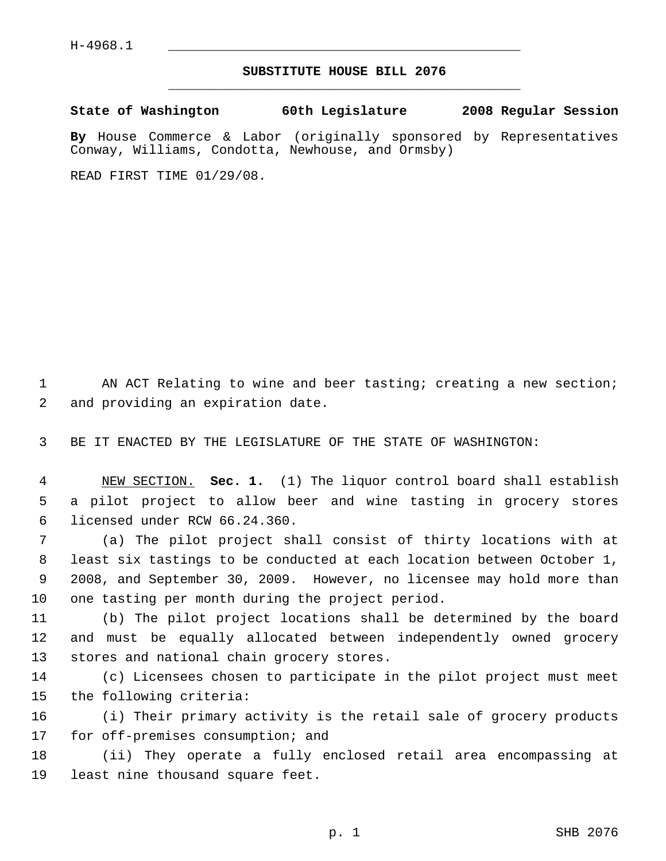## **SUBSTITUTE HOUSE BILL 2076** \_\_\_\_\_\_\_\_\_\_\_\_\_\_\_\_\_\_\_\_\_\_\_\_\_\_\_\_\_\_\_\_\_\_\_\_\_\_\_\_\_\_\_\_\_

**State of Washington 60th Legislature 2008 Regular Session**

**By** House Commerce & Labor (originally sponsored by Representatives Conway, Williams, Condotta, Newhouse, and Ormsby)

READ FIRST TIME 01/29/08.

1 AN ACT Relating to wine and beer tasting; creating a new section; and providing an expiration date.

BE IT ENACTED BY THE LEGISLATURE OF THE STATE OF WASHINGTON:

 NEW SECTION. **Sec. 1.** (1) The liquor control board shall establish a pilot project to allow beer and wine tasting in grocery stores licensed under RCW 66.24.360.

 (a) The pilot project shall consist of thirty locations with at least six tastings to be conducted at each location between October 1, 2008, and September 30, 2009. However, no licensee may hold more than one tasting per month during the project period.

 (b) The pilot project locations shall be determined by the board and must be equally allocated between independently owned grocery stores and national chain grocery stores.

 (c) Licensees chosen to participate in the pilot project must meet the following criteria:

 (i) Their primary activity is the retail sale of grocery products 17 for off-premises consumption; and

 (ii) They operate a fully enclosed retail area encompassing at least nine thousand square feet.

p. 1 SHB 2076